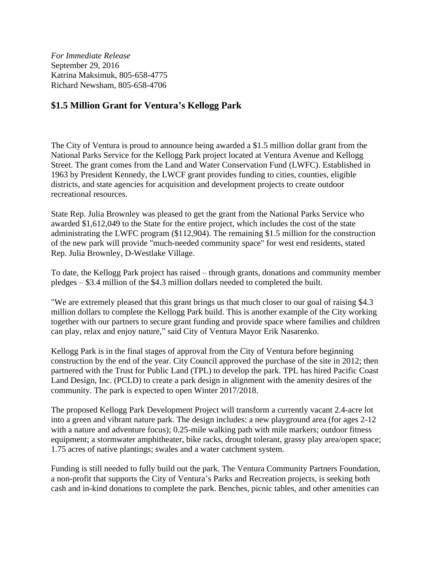*For Immediate Release* September 29, 2016 Katrina Maksimuk, 805-658-4775 Richard Newsham, 805-658-4706

## **\$1.5 Million Grant for Ventura's Kellogg Park**

The City of Ventura is proud to announce being awarded a \$1.5 million dollar grant from the National Parks Service for the Kellogg Park project located at Ventura Avenue and Kellogg Street. The grant comes from the Land and Water Conservation Fund (LWFC). Established in 1963 by President Kennedy, the LWCF grant provides funding to cities, counties, eligible districts, and state agencies for acquisition and development projects to create outdoor recreational resources.

State Rep. Julia Brownley was pleased to get the grant from the National Parks Service who awarded \$1,612,049 to the State for the entire project, which includes the cost of the state administrating the LWFC program (\$112,904). The remaining \$1.5 million for the construction of the new park will provide "much-needed community space" for west end residents, stated Rep. Julia Brownley, D-Westlake Village.

To date, the Kellogg Park project has raised – through grants, donations and community member pledges – \$3.4 million of the \$4.3 million dollars needed to completed the built.

"We are extremely pleased that this grant brings us that much closer to our goal of raising \$4.3 million dollars to complete the Kellogg Park build. This is another example of the City working together with our partners to secure grant funding and provide space where families and children can play, relax and enjoy nature," said City of Ventura Mayor Erik Nasarenko.

Kellogg Park is in the final stages of approval from the City of Ventura before beginning construction by the end of the year. City Council approved the purchase of the site in 2012; then partnered with the Trust for Public Land (TPL) to develop the park. TPL has hired Pacific Coast Land Design, Inc. (PCLD) to create a park design in alignment with the amenity desires of the community. The park is expected to open Winter 2017/2018.

The proposed Kellogg Park Development Project will transform a currently vacant 2.4-acre lot into a green and vibrant nature park. The design includes: a new playground area (for ages 2-12 with a nature and adventure focus); 0.25-mile walking path with mile markers; outdoor fitness equipment; a stormwater amphitheater, bike racks, drought tolerant, grassy play area/open space; 1.75 acres of native plantings; swales and a water catchment system.

Funding is still needed to fully build out the park. The Ventura Community Partners Foundation, a non-profit that supports the City of Ventura's Parks and Recreation projects, is seeking both cash and in-kind donations to complete the park. Benches, picnic tables, and other amenities can